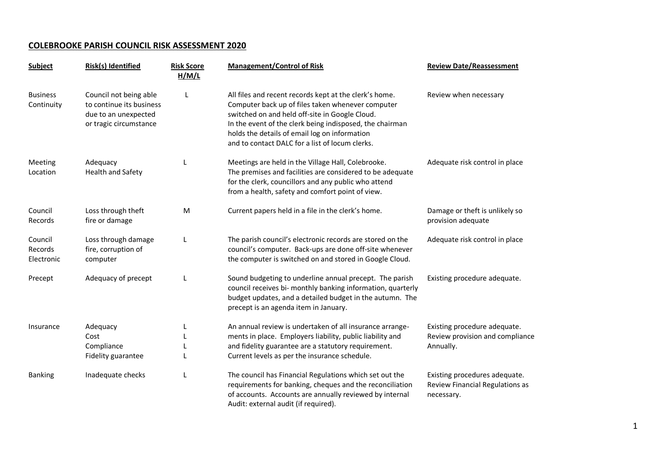## **COLEBROOKE PARISH COUNCIL RISK ASSESSMENT 2020**

| <b>Subject</b>                   | Risk(s) Identified                                                                                   | <b>Risk Score</b><br>H/M/L | <b>Management/Control of Risk</b>                                                                                                                                                                                                                                                                                             | <b>Review Date/Reassessment</b>                                                |
|----------------------------------|------------------------------------------------------------------------------------------------------|----------------------------|-------------------------------------------------------------------------------------------------------------------------------------------------------------------------------------------------------------------------------------------------------------------------------------------------------------------------------|--------------------------------------------------------------------------------|
| <b>Business</b><br>Continuity    | Council not being able<br>to continue its business<br>due to an unexpected<br>or tragic circumstance | L                          | All files and recent records kept at the clerk's home.<br>Computer back up of files taken whenever computer<br>switched on and held off-site in Google Cloud.<br>In the event of the clerk being indisposed, the chairman<br>holds the details of email log on information<br>and to contact DALC for a list of locum clerks. | Review when necessary                                                          |
| Meeting<br>Location              | Adequacy<br>Health and Safety                                                                        | L                          | Meetings are held in the Village Hall, Colebrooke.<br>The premises and facilities are considered to be adequate<br>for the clerk, councillors and any public who attend<br>from a health, safety and comfort point of view.                                                                                                   | Adequate risk control in place                                                 |
| Council<br>Records               | Loss through theft<br>fire or damage                                                                 | M                          | Current papers held in a file in the clerk's home.                                                                                                                                                                                                                                                                            | Damage or theft is unlikely so<br>provision adequate                           |
| Council<br>Records<br>Electronic | Loss through damage<br>fire, corruption of<br>computer                                               | L                          | The parish council's electronic records are stored on the<br>council's computer. Back-ups are done off-site whenever<br>the computer is switched on and stored in Google Cloud.                                                                                                                                               | Adequate risk control in place                                                 |
| Precept                          | Adequacy of precept                                                                                  | L                          | Sound budgeting to underline annual precept. The parish<br>council receives bi- monthly banking information, quarterly<br>budget updates, and a detailed budget in the autumn. The<br>precept is an agenda item in January.                                                                                                   | Existing procedure adequate.                                                   |
| Insurance                        | Adequacy<br>Cost<br>Compliance<br>Fidelity guarantee                                                 | L<br>L                     | An annual review is undertaken of all insurance arrange-<br>ments in place. Employers liability, public liability and<br>and fidelity guarantee are a statutory requirement.<br>Current levels as per the insurance schedule.                                                                                                 | Existing procedure adequate.<br>Review provision and compliance<br>Annually.   |
| <b>Banking</b>                   | Inadequate checks                                                                                    | L                          | The council has Financial Regulations which set out the<br>requirements for banking, cheques and the reconciliation<br>of accounts. Accounts are annually reviewed by internal<br>Audit: external audit (if required).                                                                                                        | Existing procedures adequate.<br>Review Financial Regulations as<br>necessary. |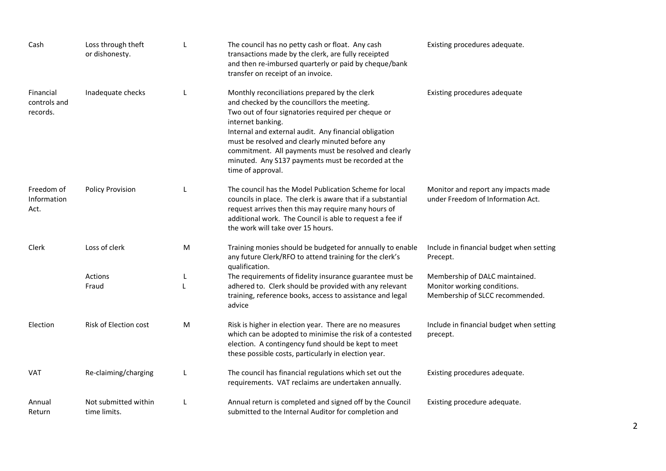| Cash                                  | Loss through theft<br>or dishonesty. |           | The council has no petty cash or float. Any cash<br>transactions made by the clerk, are fully receipted<br>and then re-imbursed quarterly or paid by cheque/bank<br>transfer on receipt of an invoice.                                                                                                                                                                                                                  | Existing procedures adequate.                                                                    |
|---------------------------------------|--------------------------------------|-----------|-------------------------------------------------------------------------------------------------------------------------------------------------------------------------------------------------------------------------------------------------------------------------------------------------------------------------------------------------------------------------------------------------------------------------|--------------------------------------------------------------------------------------------------|
| Financial<br>controls and<br>records. | Inadequate checks                    |           | Monthly reconciliations prepared by the clerk<br>and checked by the councillors the meeting.<br>Two out of four signatories required per cheque or<br>internet banking.<br>Internal and external audit. Any financial obligation<br>must be resolved and clearly minuted before any<br>commitment. All payments must be resolved and clearly<br>minuted. Any S137 payments must be recorded at the<br>time of approval. | Existing procedures adequate                                                                     |
| Freedom of<br>Information<br>Act.     | <b>Policy Provision</b>              |           | The council has the Model Publication Scheme for local<br>councils in place. The clerk is aware that if a substantial<br>request arrives then this may require many hours of<br>additional work. The Council is able to request a fee if<br>the work will take over 15 hours.                                                                                                                                           | Monitor and report any impacts made<br>under Freedom of Information Act.                         |
| Clerk                                 | Loss of clerk                        | M         | Training monies should be budgeted for annually to enable<br>any future Clerk/RFO to attend training for the clerk's<br>qualification.                                                                                                                                                                                                                                                                                  | Include in financial budget when setting<br>Precept.                                             |
|                                       | Actions<br>Fraud                     | L<br>L    | The requirements of fidelity insurance guarantee must be<br>adhered to. Clerk should be provided with any relevant<br>training, reference books, access to assistance and legal<br>advice                                                                                                                                                                                                                               | Membership of DALC maintained.<br>Monitor working conditions.<br>Membership of SLCC recommended. |
| Election                              | <b>Risk of Election cost</b>         | ${\sf M}$ | Risk is higher in election year. There are no measures<br>which can be adopted to minimise the risk of a contested<br>election. A contingency fund should be kept to meet<br>these possible costs, particularly in election year.                                                                                                                                                                                       | Include in financial budget when setting<br>precept.                                             |
| VAT                                   | Re-claiming/charging                 |           | The council has financial regulations which set out the<br>requirements. VAT reclaims are undertaken annually.                                                                                                                                                                                                                                                                                                          | Existing procedures adequate.                                                                    |
| Annual<br>Return                      | Not submitted within<br>time limits. |           | Annual return is completed and signed off by the Council<br>submitted to the Internal Auditor for completion and                                                                                                                                                                                                                                                                                                        | Existing procedure adequate.                                                                     |